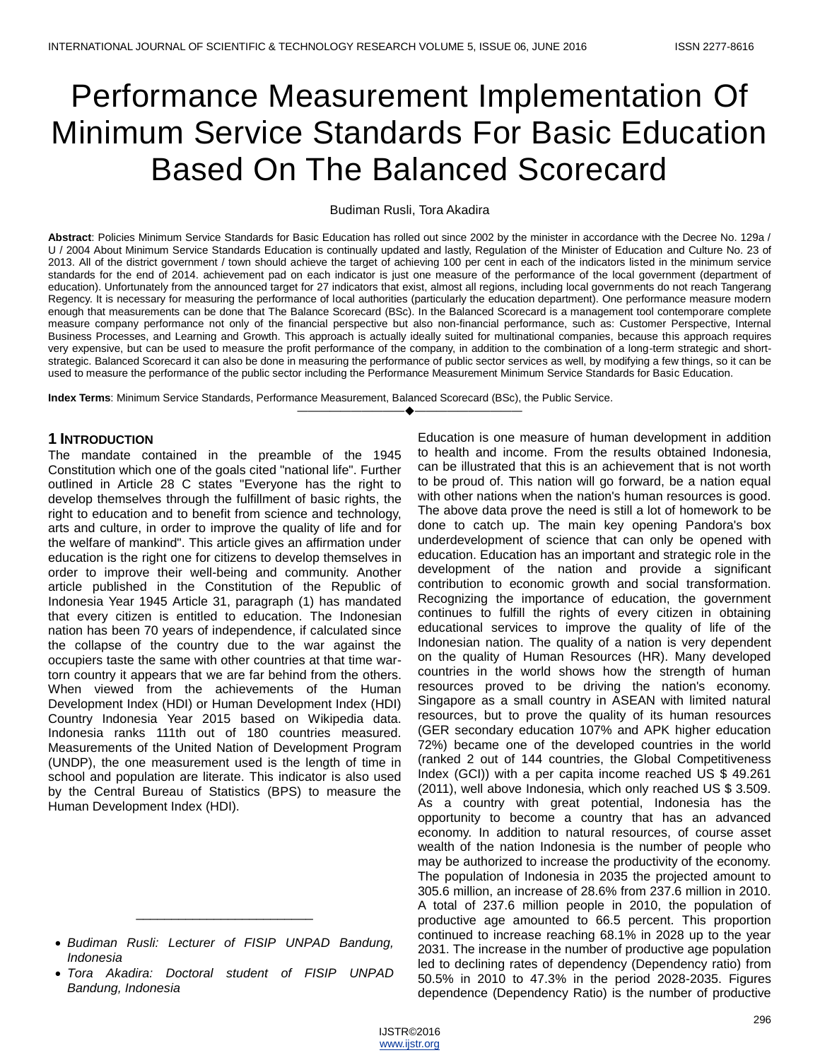# Performance Measurement Implementation Of Minimum Service Standards For Basic Education Based On The Balanced Scorecard

#### Budiman Rusli, Tora Akadira

**Abstract**: Policies Minimum Service Standards for Basic Education has rolled out since 2002 by the minister in accordance with the Decree No. 129a / U / 2004 About Minimum Service Standards Education is continually updated and lastly, Regulation of the Minister of Education and Culture No. 23 of 2013. All of the district government / town should achieve the target of achieving 100 per cent in each of the indicators listed in the minimum service standards for the end of 2014. achievement pad on each indicator is just one measure of the performance of the local government (department of education). Unfortunately from the announced target for 27 indicators that exist, almost all regions, including local governments do not reach Tangerang Regency. It is necessary for measuring the performance of local authorities (particularly the education department). One performance measure modern enough that measurements can be done that The Balance Scorecard (BSc). In the Balanced Scorecard is a management tool contemporare complete measure company performance not only of the financial perspective but also non-financial performance, such as: Customer Perspective, Internal Business Processes, and Learning and Growth. This approach is actually ideally suited for multinational companies, because this approach requires very expensive, but can be used to measure the profit performance of the company, in addition to the combination of a long-term strategic and shortstrategic. Balanced Scorecard it can also be done in measuring the performance of public sector services as well, by modifying a few things, so it can be used to measure the performance of the public sector including the Performance Measurement Minimum Service Standards for Basic Education.

————————————————————

**Index Terms**: Minimum Service Standards, Performance Measurement, Balanced Scorecard (BSc), the Public Service.

#### **1 INTRODUCTION**

The mandate contained in the preamble of the 1945 Constitution which one of the goals cited "national life". Further outlined in Article 28 C states "Everyone has the right to develop themselves through the fulfillment of basic rights, the right to education and to benefit from science and technology, arts and culture, in order to improve the quality of life and for the welfare of mankind". This article gives an affirmation under education is the right one for citizens to develop themselves in order to improve their well-being and community. Another article published in the Constitution of the Republic of Indonesia Year 1945 Article 31, paragraph (1) has mandated that every citizen is entitled to education. The Indonesian nation has been 70 years of independence, if calculated since the collapse of the country due to the war against the occupiers taste the same with other countries at that time wartorn country it appears that we are far behind from the others. When viewed from the achievements of the Human Development Index (HDI) or Human Development Index (HDI) Country Indonesia Year 2015 based on Wikipedia data. Indonesia ranks 111th out of 180 countries measured. Measurements of the United Nation of Development Program (UNDP), the one measurement used is the length of time in school and population are literate. This indicator is also used by the Central Bureau of Statistics (BPS) to measure the Human Development Index (HDI).

\_\_\_\_\_\_\_\_\_\_\_\_\_\_\_\_\_\_\_\_\_\_\_\_\_

Education is one measure of human development in addition to health and income. From the results obtained Indonesia, can be illustrated that this is an achievement that is not worth to be proud of. This nation will go forward, be a nation equal with other nations when the nation's human resources is good. The above data prove the need is still a lot of homework to be done to catch up. The main key opening Pandora's box underdevelopment of science that can only be opened with education. Education has an important and strategic role in the development of the nation and provide a significant contribution to economic growth and social transformation. Recognizing the importance of education, the government continues to fulfill the rights of every citizen in obtaining educational services to improve the quality of life of the Indonesian nation. The quality of a nation is very dependent on the quality of Human Resources (HR). Many developed countries in the world shows how the strength of human resources proved to be driving the nation's economy. Singapore as a small country in ASEAN with limited natural resources, but to prove the quality of its human resources (GER secondary education 107% and APK higher education 72%) became one of the developed countries in the world (ranked 2 out of 144 countries, the Global Competitiveness Index (GCI)) with a per capita income reached US \$ 49.261 (2011), well above Indonesia, which only reached US \$ 3.509. As a country with great potential, Indonesia has the opportunity to become a country that has an advanced economy. In addition to natural resources, of course asset wealth of the nation Indonesia is the number of people who may be authorized to increase the productivity of the economy. The population of Indonesia in 2035 the projected amount to 305.6 million, an increase of 28.6% from 237.6 million in 2010. A total of 237.6 million people in 2010, the population of productive age amounted to 66.5 percent. This proportion continued to increase reaching 68.1% in 2028 up to the year 2031. The increase in the number of productive age population led to declining rates of dependency (Dependency ratio) from 50.5% in 2010 to 47.3% in the period 2028-2035. Figures dependence (Dependency Ratio) is the number of productive

*Budiman Rusli: Lecturer of FISIP UNPAD Bandung, Indonesia*

*Tora Akadira: Doctoral student of FISIP UNPAD Bandung, Indonesia*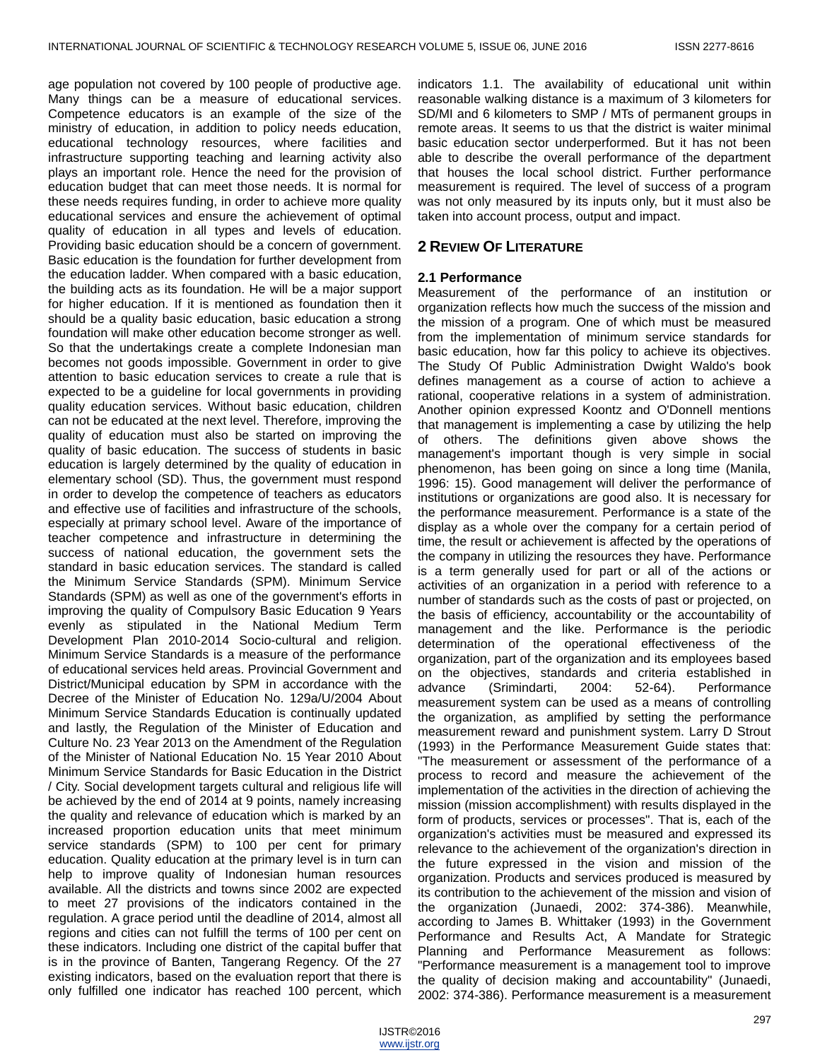age population not covered by 100 people of productive age. Many things can be a measure of educational services. Competence educators is an example of the size of the ministry of education, in addition to policy needs education, educational technology resources, where facilities and infrastructure supporting teaching and learning activity also plays an important role. Hence the need for the provision of education budget that can meet those needs. It is normal for these needs requires funding, in order to achieve more quality educational services and ensure the achievement of optimal quality of education in all types and levels of education. Providing basic education should be a concern of government. Basic education is the foundation for further development from the education ladder. When compared with a basic education, the building acts as its foundation. He will be a major support for higher education. If it is mentioned as foundation then it should be a quality basic education, basic education a strong foundation will make other education become stronger as well. So that the undertakings create a complete Indonesian man becomes not goods impossible. Government in order to give attention to basic education services to create a rule that is expected to be a guideline for local governments in providing quality education services. Without basic education, children can not be educated at the next level. Therefore, improving the quality of education must also be started on improving the quality of basic education. The success of students in basic education is largely determined by the quality of education in elementary school (SD). Thus, the government must respond in order to develop the competence of teachers as educators and effective use of facilities and infrastructure of the schools, especially at primary school level. Aware of the importance of teacher competence and infrastructure in determining the success of national education, the government sets the standard in basic education services. The standard is called the Minimum Service Standards (SPM). Minimum Service Standards (SPM) as well as one of the government's efforts in improving the quality of Compulsory Basic Education 9 Years evenly as stipulated in the National Medium Term Development Plan 2010-2014 Socio-cultural and religion. Minimum Service Standards is a measure of the performance of educational services held areas. Provincial Government and District/Municipal education by SPM in accordance with the Decree of the Minister of Education No. 129a/U/2004 About Minimum Service Standards Education is continually updated and lastly, the Regulation of the Minister of Education and Culture No. 23 Year 2013 on the Amendment of the Regulation of the Minister of National Education No. 15 Year 2010 About Minimum Service Standards for Basic Education in the District / City. Social development targets cultural and religious life will be achieved by the end of 2014 at 9 points, namely increasing the quality and relevance of education which is marked by an increased proportion education units that meet minimum service standards (SPM) to 100 per cent for primary education. Quality education at the primary level is in turn can help to improve quality of Indonesian human resources available. All the districts and towns since 2002 are expected to meet 27 provisions of the indicators contained in the regulation. A grace period until the deadline of 2014, almost all regions and cities can not fulfill the terms of 100 per cent on these indicators. Including one district of the capital buffer that is in the province of Banten, Tangerang Regency. Of the 27 existing indicators, based on the evaluation report that there is only fulfilled one indicator has reached 100 percent, which

indicators 1.1. The availability of educational unit within reasonable walking distance is a maximum of 3 kilometers for SD/MI and 6 kilometers to SMP / MTs of permanent groups in remote areas. It seems to us that the district is waiter minimal basic education sector underperformed. But it has not been able to describe the overall performance of the department that houses the local school district. Further performance measurement is required. The level of success of a program was not only measured by its inputs only, but it must also be taken into account process, output and impact.

# **2 REVIEW OF LITERATURE**

#### **2.1 Performance**

Measurement of the performance of an institution or organization reflects how much the success of the mission and the mission of a program. One of which must be measured from the implementation of minimum service standards for basic education, how far this policy to achieve its objectives. The Study Of Public Administration Dwight Waldo's book defines management as a course of action to achieve a rational, cooperative relations in a system of administration. Another opinion expressed Koontz and O'Donnell mentions that management is implementing a case by utilizing the help of others. The definitions given above shows the management's important though is very simple in social phenomenon, has been going on since a long time (Manila, 1996: 15). Good management will deliver the performance of institutions or organizations are good also. It is necessary for the performance measurement. Performance is a state of the display as a whole over the company for a certain period of time, the result or achievement is affected by the operations of the company in utilizing the resources they have. Performance is a term generally used for part or all of the actions or activities of an organization in a period with reference to a number of standards such as the costs of past or projected, on the basis of efficiency, accountability or the accountability of management and the like. Performance is the periodic determination of the operational effectiveness of the organization, part of the organization and its employees based on the objectives, standards and criteria established in advance (Srimindarti, 2004: 52-64). Performance measurement system can be used as a means of controlling the organization, as amplified by setting the performance measurement reward and punishment system. Larry D Strout (1993) in the Performance Measurement Guide states that: "The measurement or assessment of the performance of a process to record and measure the achievement of the implementation of the activities in the direction of achieving the mission (mission accomplishment) with results displayed in the form of products, services or processes". That is, each of the organization's activities must be measured and expressed its relevance to the achievement of the organization's direction in the future expressed in the vision and mission of the organization. Products and services produced is measured by its contribution to the achievement of the mission and vision of the organization (Junaedi, 2002: 374-386). Meanwhile, according to James B. Whittaker (1993) in the Government Performance and Results Act, A Mandate for Strategic Planning and Performance Measurement as follows: "Performance measurement is a management tool to improve the quality of decision making and accountability" (Junaedi, 2002: 374-386). Performance measurement is a measurement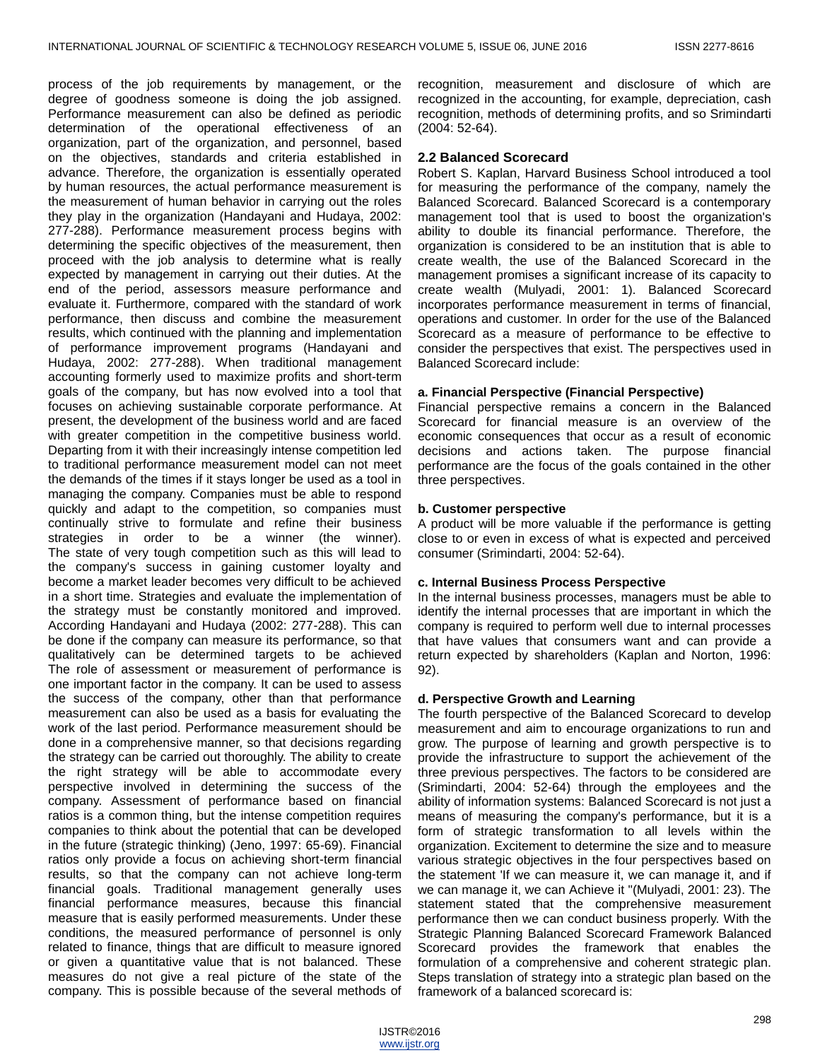process of the job requirements by management, or the degree of goodness someone is doing the job assigned. Performance measurement can also be defined as periodic determination of the operational effectiveness of an organization, part of the organization, and personnel, based on the objectives, standards and criteria established in advance. Therefore, the organization is essentially operated by human resources, the actual performance measurement is the measurement of human behavior in carrying out the roles they play in the organization (Handayani and Hudaya, 2002: 277-288). Performance measurement process begins with determining the specific objectives of the measurement, then proceed with the job analysis to determine what is really expected by management in carrying out their duties. At the end of the period, assessors measure performance and evaluate it. Furthermore, compared with the standard of work performance, then discuss and combine the measurement results, which continued with the planning and implementation of performance improvement programs (Handayani and Hudaya, 2002: 277-288). When traditional management accounting formerly used to maximize profits and short-term goals of the company, but has now evolved into a tool that focuses on achieving sustainable corporate performance. At present, the development of the business world and are faced with greater competition in the competitive business world. Departing from it with their increasingly intense competition led to traditional performance measurement model can not meet the demands of the times if it stays longer be used as a tool in managing the company. Companies must be able to respond quickly and adapt to the competition, so companies must continually strive to formulate and refine their business strategies in order to be a winner (the winner). The state of very tough competition such as this will lead to the company's success in gaining customer loyalty and become a market leader becomes very difficult to be achieved in a short time. Strategies and evaluate the implementation of the strategy must be constantly monitored and improved. According Handayani and Hudaya (2002: 277-288). This can be done if the company can measure its performance, so that qualitatively can be determined targets to be achieved The role of assessment or measurement of performance is one important factor in the company. It can be used to assess the success of the company, other than that performance measurement can also be used as a basis for evaluating the work of the last period. Performance measurement should be done in a comprehensive manner, so that decisions regarding the strategy can be carried out thoroughly. The ability to create the right strategy will be able to accommodate every perspective involved in determining the success of the company. Assessment of performance based on financial ratios is a common thing, but the intense competition requires companies to think about the potential that can be developed in the future (strategic thinking) (Jeno, 1997: 65-69). Financial ratios only provide a focus on achieving short-term financial results, so that the company can not achieve long-term financial goals. Traditional management generally uses financial performance measures, because this financial measure that is easily performed measurements. Under these conditions, the measured performance of personnel is only related to finance, things that are difficult to measure ignored or given a quantitative value that is not balanced. These measures do not give a real picture of the state of the company. This is possible because of the several methods of

recognition, measurement and disclosure of which are recognized in the accounting, for example, depreciation, cash recognition, methods of determining profits, and so Srimindarti (2004: 52-64).

## **2.2 Balanced Scorecard**

Robert S. Kaplan, Harvard Business School introduced a tool for measuring the performance of the company, namely the Balanced Scorecard. Balanced Scorecard is a contemporary management tool that is used to boost the organization's ability to double its financial performance. Therefore, the organization is considered to be an institution that is able to create wealth, the use of the Balanced Scorecard in the management promises a significant increase of its capacity to create wealth (Mulyadi, 2001: 1). Balanced Scorecard incorporates performance measurement in terms of financial, operations and customer. In order for the use of the Balanced Scorecard as a measure of performance to be effective to consider the perspectives that exist. The perspectives used in Balanced Scorecard include:

## **a. Financial Perspective (Financial Perspective)**

Financial perspective remains a concern in the Balanced Scorecard for financial measure is an overview of the economic consequences that occur as a result of economic decisions and actions taken. The purpose financial performance are the focus of the goals contained in the other three perspectives.

## **b. Customer perspective**

A product will be more valuable if the performance is getting close to or even in excess of what is expected and perceived consumer (Srimindarti, 2004: 52-64).

# **c. Internal Business Process Perspective**

In the internal business processes, managers must be able to identify the internal processes that are important in which the company is required to perform well due to internal processes that have values that consumers want and can provide a return expected by shareholders (Kaplan and Norton, 1996: 92).

# **d. Perspective Growth and Learning**

The fourth perspective of the Balanced Scorecard to develop measurement and aim to encourage organizations to run and grow. The purpose of learning and growth perspective is to provide the infrastructure to support the achievement of the three previous perspectives. The factors to be considered are (Srimindarti, 2004: 52-64) through the employees and the ability of information systems: Balanced Scorecard is not just a means of measuring the company's performance, but it is a form of strategic transformation to all levels within the organization. Excitement to determine the size and to measure various strategic objectives in the four perspectives based on the statement 'If we can measure it, we can manage it, and if we can manage it, we can Achieve it "(Mulyadi, 2001: 23). The statement stated that the comprehensive measurement performance then we can conduct business properly. With the Strategic Planning Balanced Scorecard Framework Balanced Scorecard provides the framework that enables the formulation of a comprehensive and coherent strategic plan. Steps translation of strategy into a strategic plan based on the framework of a balanced scorecard is: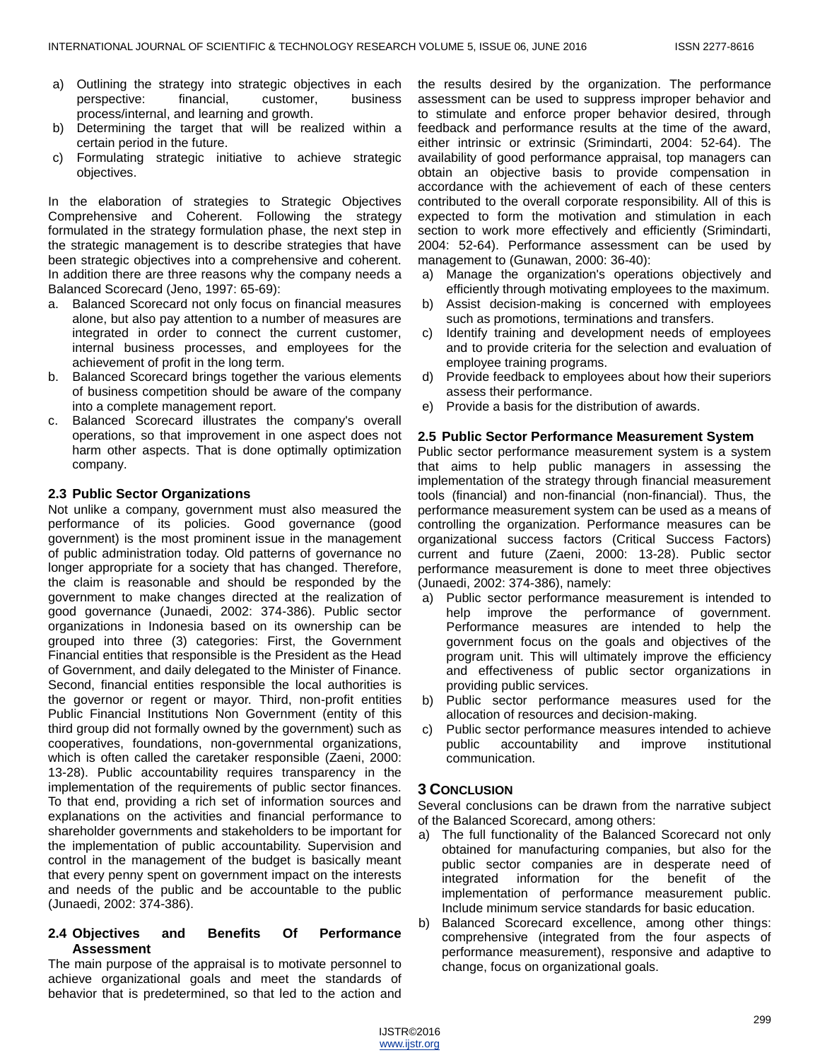- a) Outlining the strategy into strategic objectives in each perspective: financial, customer, business process/internal, and learning and growth.
- b) Determining the target that will be realized within a certain period in the future.
- c) Formulating strategic initiative to achieve strategic objectives.

In the elaboration of strategies to Strategic Objectives Comprehensive and Coherent. Following the strategy formulated in the strategy formulation phase, the next step in the strategic management is to describe strategies that have been strategic objectives into a comprehensive and coherent. In addition there are three reasons why the company needs a Balanced Scorecard (Jeno, 1997: 65-69):

- a. Balanced Scorecard not only focus on financial measures alone, but also pay attention to a number of measures are integrated in order to connect the current customer, internal business processes, and employees for the achievement of profit in the long term.
- b. Balanced Scorecard brings together the various elements of business competition should be aware of the company into a complete management report.
- c. Balanced Scorecard illustrates the company's overall operations, so that improvement in one aspect does not harm other aspects. That is done optimally optimization company.

## **2.3 Public Sector Organizations**

Not unlike a company, government must also measured the performance of its policies. Good governance (good government) is the most prominent issue in the management of public administration today. Old patterns of governance no longer appropriate for a society that has changed. Therefore, the claim is reasonable and should be responded by the government to make changes directed at the realization of good governance (Junaedi, 2002: 374-386). Public sector organizations in Indonesia based on its ownership can be grouped into three (3) categories: First, the Government Financial entities that responsible is the President as the Head of Government, and daily delegated to the Minister of Finance. Second, financial entities responsible the local authorities is the governor or regent or mayor. Third, non-profit entities Public Financial Institutions Non Government (entity of this third group did not formally owned by the government) such as cooperatives, foundations, non-governmental organizations, which is often called the caretaker responsible (Zaeni, 2000: 13-28). Public accountability requires transparency in the implementation of the requirements of public sector finances. To that end, providing a rich set of information sources and explanations on the activities and financial performance to shareholder governments and stakeholders to be important for the implementation of public accountability. Supervision and control in the management of the budget is basically meant that every penny spent on government impact on the interests and needs of the public and be accountable to the public (Junaedi, 2002: 374-386).

## **2.4 Objectives and Benefits Of Performance Assessment**

The main purpose of the appraisal is to motivate personnel to achieve organizational goals and meet the standards of behavior that is predetermined, so that led to the action and

the results desired by the organization. The performance assessment can be used to suppress improper behavior and to stimulate and enforce proper behavior desired, through feedback and performance results at the time of the award, either intrinsic or extrinsic (Srimindarti, 2004: 52-64). The availability of good performance appraisal, top managers can obtain an objective basis to provide compensation in accordance with the achievement of each of these centers contributed to the overall corporate responsibility. All of this is expected to form the motivation and stimulation in each section to work more effectively and efficiently (Srimindarti, 2004: 52-64). Performance assessment can be used by management to (Gunawan, 2000: 36-40):

- a) Manage the organization's operations objectively and efficiently through motivating employees to the maximum.
- b) Assist decision-making is concerned with employees such as promotions, terminations and transfers.
- c) Identify training and development needs of employees and to provide criteria for the selection and evaluation of employee training programs.
- Provide feedback to employees about how their superiors assess their performance.
- e) Provide a basis for the distribution of awards.

#### **2.5 Public Sector Performance Measurement System**

Public sector performance measurement system is a system that aims to help public managers in assessing the implementation of the strategy through financial measurement tools (financial) and non-financial (non-financial). Thus, the performance measurement system can be used as a means of controlling the organization. Performance measures can be organizational success factors (Critical Success Factors) current and future (Zaeni, 2000: 13-28). Public sector performance measurement is done to meet three objectives (Junaedi, 2002: 374-386), namely:

- a) Public sector performance measurement is intended to help improve the performance of government. Performance measures are intended to help the government focus on the goals and objectives of the program unit. This will ultimately improve the efficiency and effectiveness of public sector organizations in providing public services.
- b) Public sector performance measures used for the allocation of resources and decision-making.
- c) Public sector performance measures intended to achieve public accountability and improve institutional communication.

# **3 CONCLUSION**

Several conclusions can be drawn from the narrative subject of the Balanced Scorecard, among others:

- a) The full functionality of the Balanced Scorecard not only obtained for manufacturing companies, but also for the public sector companies are in desperate need of integrated information for the benefit of the implementation of performance measurement public. Include minimum service standards for basic education.
- b) Balanced Scorecard excellence, among other things: comprehensive (integrated from the four aspects of performance measurement), responsive and adaptive to change, focus on organizational goals.